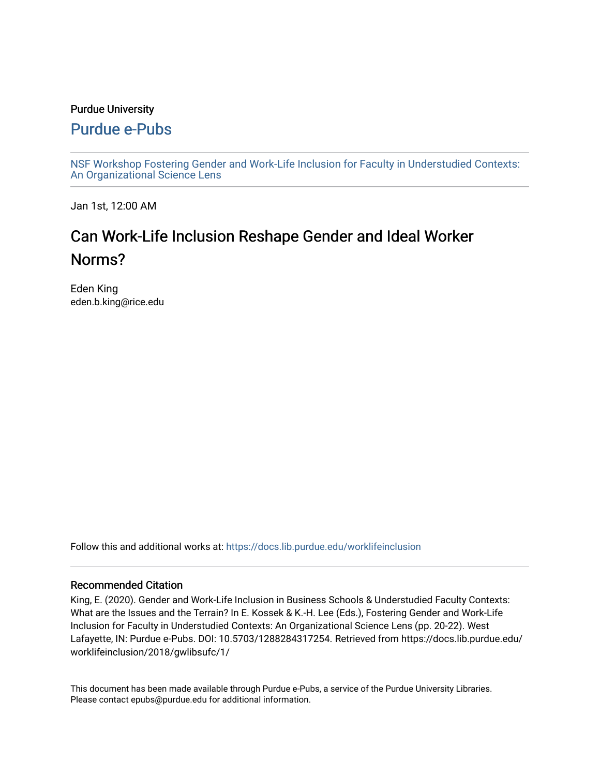#### Purdue University

### [Purdue e-Pubs](https://docs.lib.purdue.edu/)

[NSF Workshop Fostering Gender and Work-Life Inclusion for Faculty in Understudied Contexts:](https://docs.lib.purdue.edu/worklifeinclusion)  [An Organizational Science Lens](https://docs.lib.purdue.edu/worklifeinclusion)

Jan 1st, 12:00 AM

# Can Work-Life Inclusion Reshape Gender and Ideal Worker Norms?

Eden King eden.b.king@rice.edu

Follow this and additional works at: [https://docs.lib.purdue.edu/worklifeinclusion](https://docs.lib.purdue.edu/worklifeinclusion?utm_source=docs.lib.purdue.edu%2Fworklifeinclusion%2F2018%2Fgwlibsufc%2F1&utm_medium=PDF&utm_campaign=PDFCoverPages) 

#### Recommended Citation

King, E. (2020). Gender and Work-Life Inclusion in Business Schools & Understudied Faculty Contexts: What are the Issues and the Terrain? In E. Kossek & K.-H. Lee (Eds.), Fostering Gender and Work-Life Inclusion for Faculty in Understudied Contexts: An Organizational Science Lens (pp. 20-22). West Lafayette, IN: Purdue e-Pubs. DOI: 10.5703/1288284317254. Retrieved from https://docs.lib.purdue.edu/ worklifeinclusion/2018/gwlibsufc/1/

This document has been made available through Purdue e-Pubs, a service of the Purdue University Libraries. Please contact epubs@purdue.edu for additional information.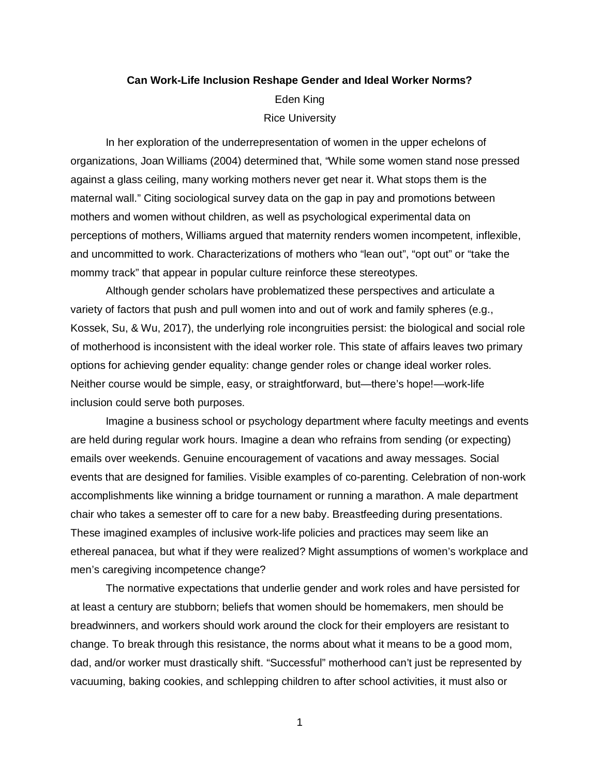## **Can Work-Life Inclusion Reshape Gender and Ideal Worker Norms?**  Eden King Rice University

 against a glass ceiling, many working mothers never get near it. What stops them is the maternal wall." Citing sociological survey data on the gap in pay and promotions between mothers and women without children, as well as psychological experimental data on perceptions of mothers, Williams argued that maternity renders women incompetent, inflexible, In her exploration of the underrepresentation of women in the upper echelons of organizations, Joan Williams (2004) determined that, "While some women stand nose pressed and uncommitted to work. Characterizations of mothers who "lean out", "opt out" or "take the mommy track" that appear in popular culture reinforce these stereotypes.

 variety of factors that push and pull women into and out of work and family spheres (e.g., Kossek, Su, & Wu, 2017), the underlying role incongruities persist: the biological and social role options for achieving gender equality: change gender roles or change ideal worker roles. Neither course would be simple, easy, or straightforward, but—there's hope!—work-life Although gender scholars have problematized these perspectives and articulate a of motherhood is inconsistent with the ideal worker role. This state of affairs leaves two primary inclusion could serve both purposes.

 Imagine a business school or psychology department where faculty meetings and events are held during regular work hours. Imagine a dean who refrains from sending (or expecting) emails over weekends. Genuine encouragement of vacations and away messages. Social events that are designed for families. Visible examples of co-parenting. Celebration of non-work accomplishments like winning a bridge tournament or running a marathon. A male department chair who takes a semester off to care for a new baby. Breastfeeding during presentations. These imagined examples of inclusive work-life policies and practices may seem like an ethereal panacea, but what if they were realized? Might assumptions of women's workplace and men's caregiving incompetence change?

 The normative expectations that underlie gender and work roles and have persisted for breadwinners, and workers should work around the clock for their employers are resistant to at least a century are stubborn; beliefs that women should be homemakers, men should be change. To break through this resistance, the norms about what it means to be a good mom, dad, and/or worker must drastically shift. "Successful" motherhood can't just be represented by vacuuming, baking cookies, and schlepping children to after school activities, it must also or

1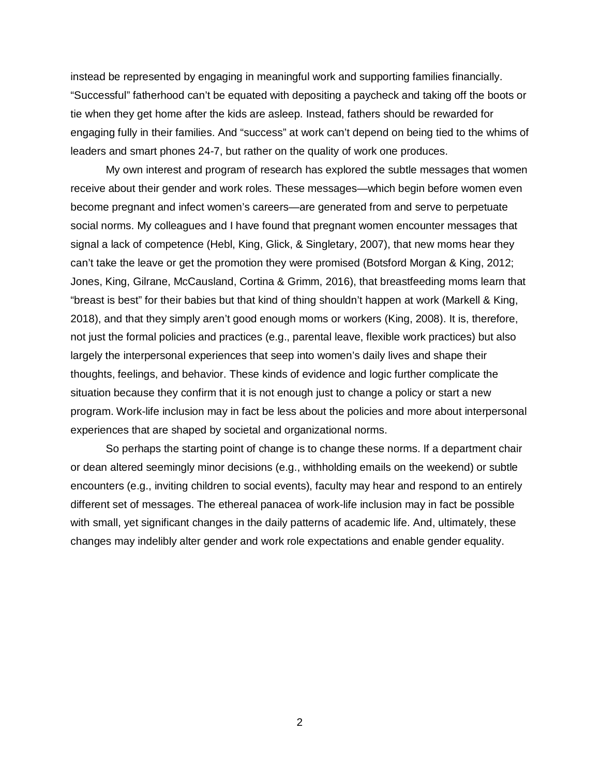instead be represented by engaging in meaningful work and supporting families financially. "Successful" fatherhood can't be equated with depositing a paycheck and taking off the boots or tie when they get home after the kids are asleep. Instead, fathers should be rewarded for engaging fully in their families. And "success" at work can't depend on being tied to the whims of leaders and smart phones 24-7, but rather on the quality of work one produces.

 signal a lack of competence (Hebl, King, Glick, & Singletary, 2007), that new moms hear they can't take the leave or get the promotion they were promised (Botsford Morgan & King, 2012; Jones, King, Gilrane, McCausland, Cortina & Grimm, 2016), that breastfeeding moms learn that "breast is best" for their babies but that kind of thing shouldn't happen at work (Markell & King, not just the formal policies and practices (e.g., parental leave, flexible work practices) but also situation because they confirm that it is not enough just to change a policy or start a new program. Work-life inclusion may in fact be less about the policies and more about interpersonal My own interest and program of research has explored the subtle messages that women receive about their gender and work roles. These messages—which begin before women even become pregnant and infect women's careers—are generated from and serve to perpetuate social norms. My colleagues and I have found that pregnant women encounter messages that 2018), and that they simply aren't good enough moms or workers (King, 2008). It is, therefore, largely the interpersonal experiences that seep into women's daily lives and shape their thoughts, feelings, and behavior. These kinds of evidence and logic further complicate the experiences that are shaped by societal and organizational norms.

 So perhaps the starting point of change is to change these norms. If a department chair with small, yet significant changes in the daily patterns of academic life. And, ultimately, these changes may indelibly alter gender and work role expectations and enable gender equality. or dean altered seemingly minor decisions (e.g., withholding emails on the weekend) or subtle encounters (e.g., inviting children to social events), faculty may hear and respond to an entirely different set of messages. The ethereal panacea of work-life inclusion may in fact be possible

2